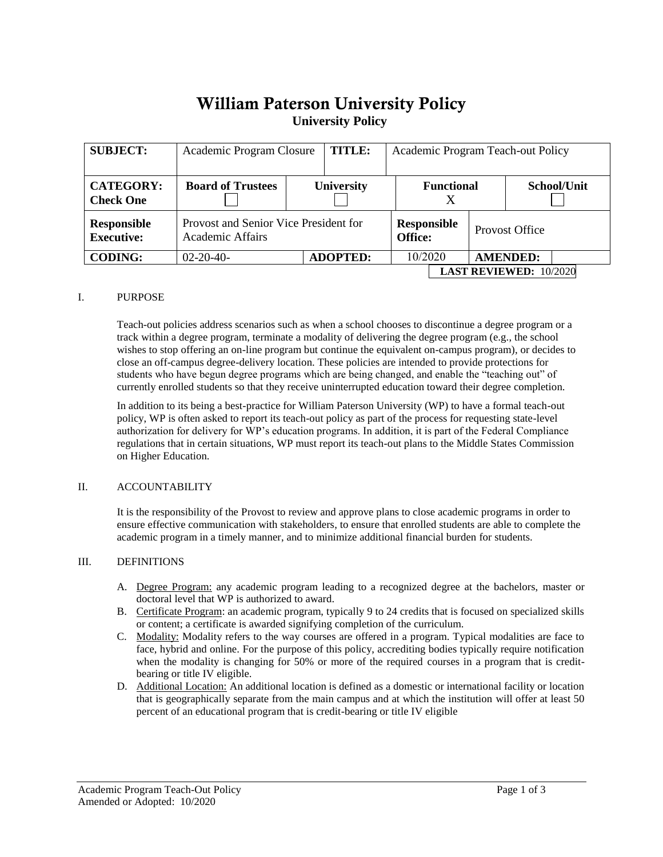# William Paterson University Policy **University Policy**

| <b>SUBJECT:</b>                         | Academic Program Closure                                         |  | TITLE:            |                        | Academic Program Teach-out Policy |                       |             |                               |
|-----------------------------------------|------------------------------------------------------------------|--|-------------------|------------------------|-----------------------------------|-----------------------|-------------|-------------------------------|
| <b>CATEGORY:</b><br><b>Check One</b>    | <b>Board of Trustees</b>                                         |  | <b>University</b> | <b>Functional</b><br>Х |                                   |                       | School/Unit |                               |
| <b>Responsible</b><br><b>Executive:</b> | Provost and Senior Vice President for<br><b>Academic Affairs</b> |  |                   | Responsible<br>Office: |                                   | <b>Provost Office</b> |             |                               |
| <b>CODING:</b>                          | $02 - 20 - 40 -$                                                 |  | <b>ADOPTED:</b>   |                        | 10/2020                           |                       |             | <b>AMENDED:</b>               |
|                                         |                                                                  |  |                   |                        |                                   |                       |             | <b>LAST REVIEWED: 10/2020</b> |

### I. PURPOSE

Teach-out policies address scenarios such as when a school chooses to discontinue a degree program or a track within a degree program, terminate a modality of delivering the degree program (e.g., the school wishes to stop offering an on-line program but continue the equivalent on-campus program), or decides to close an off-campus degree-delivery location. These policies are intended to provide protections for students who have begun degree programs which are being changed, and enable the "teaching out" of currently enrolled students so that they receive uninterrupted education toward their degree completion.

In addition to its being a best-practice for William Paterson University (WP) to have a formal teach-out policy, WP is often asked to report its teach-out policy as part of the process for requesting state-level authorization for delivery for WP's education programs. In addition, it is part of the Federal Compliance regulations that in certain situations, WP must report its teach-out plans to the Middle States Commission on Higher Education.

# II. ACCOUNTABILITY

It is the responsibility of the Provost to review and approve plans to close academic programs in order to ensure effective communication with stakeholders, to ensure that enrolled students are able to complete the academic program in a timely manner, and to minimize additional financial burden for students.

# III. DEFINITIONS

- A. Degree Program: any academic program leading to a recognized degree at the bachelors, master or doctoral level that WP is authorized to award.
- B. Certificate Program: an academic program, typically 9 to 24 credits that is focused on specialized skills or content; a certificate is awarded signifying completion of the curriculum.
- C. Modality: Modality refers to the way courses are offered in a program. Typical modalities are face to face, hybrid and online. For the purpose of this policy, accrediting bodies typically require notification when the modality is changing for 50% or more of the required courses in a program that is creditbearing or title IV eligible.
- D. Additional Location: An additional location is defined as a domestic or international facility or location that is geographically separate from the main campus and at which the institution will offer at least 50 percent of an educational program that is credit-bearing or title IV eligible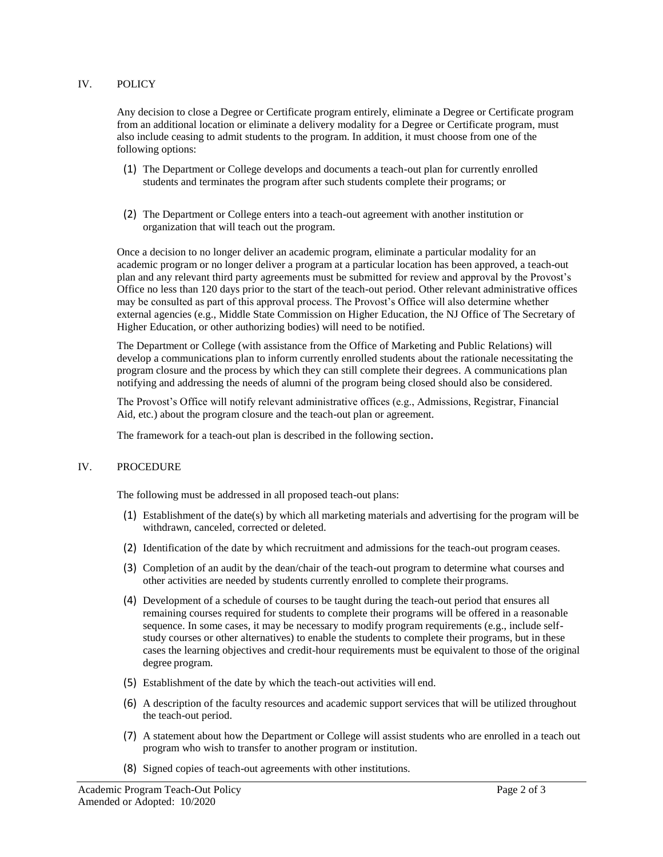### IV. POLICY

Any decision to close a Degree or Certificate program entirely, eliminate a Degree or Certificate program from an additional location or eliminate a delivery modality for a Degree or Certificate program, must also include ceasing to admit students to the program. In addition, it must choose from one of the following options:

- (1) The Department or College develops and documents a teach-out plan for currently enrolled students and terminates the program after such students complete their programs; or
- (2) The Department or College enters into a teach-out agreement with another institution or organization that will teach out the program.

Once a decision to no longer deliver an academic program, eliminate a particular modality for an academic program or no longer deliver a program at a particular location has been approved, a teach-out plan and any relevant third party agreements must be submitted for review and approval by the Provost's Office no less than 120 days prior to the start of the teach-out period. Other relevant administrative offices may be consulted as part of this approval process. The Provost's Office will also determine whether external agencies (e.g., Middle State Commission on Higher Education, the NJ Office of The Secretary of Higher Education, or other authorizing bodies) will need to be notified.

The Department or College (with assistance from the Office of Marketing and Public Relations) will develop a communications plan to inform currently enrolled students about the rationale necessitating the program closure and the process by which they can still complete their degrees. A communications plan notifying and addressing the needs of alumni of the program being closed should also be considered.

The Provost's Office will notify relevant administrative offices (e.g., Admissions, Registrar, Financial Aid, etc.) about the program closure and the teach-out plan or agreement.

The framework for a teach-out plan is described in the following section.

#### IV. PROCEDURE

The following must be addressed in all proposed teach-out plans:

- (1) Establishment of the date(s) by which all marketing materials and advertising for the program will be withdrawn, canceled, corrected or deleted.
- (2) Identification of the date by which recruitment and admissions for the teach-out program ceases.
- (3) Completion of an audit by the dean/chair of the teach-out program to determine what courses and other activities are needed by students currently enrolled to complete their programs.
- (4) Development of a schedule of courses to be taught during the teach-out period that ensures all remaining courses required for students to complete their programs will be offered in a reasonable sequence. In some cases, it may be necessary to modify program requirements (e.g., include selfstudy courses or other alternatives) to enable the students to complete their programs, but in these cases the learning objectives and credit-hour requirements must be equivalent to those of the original degree program.
- (5) Establishment of the date by which the teach-out activities will end.
- (6) A description of the faculty resources and academic support services that will be utilized throughout the teach-out period.
- (7) A statement about how the Department or College will assist students who are enrolled in a teach out program who wish to transfer to another program or institution.
- (8) Signed copies of teach-out agreements with other institutions.